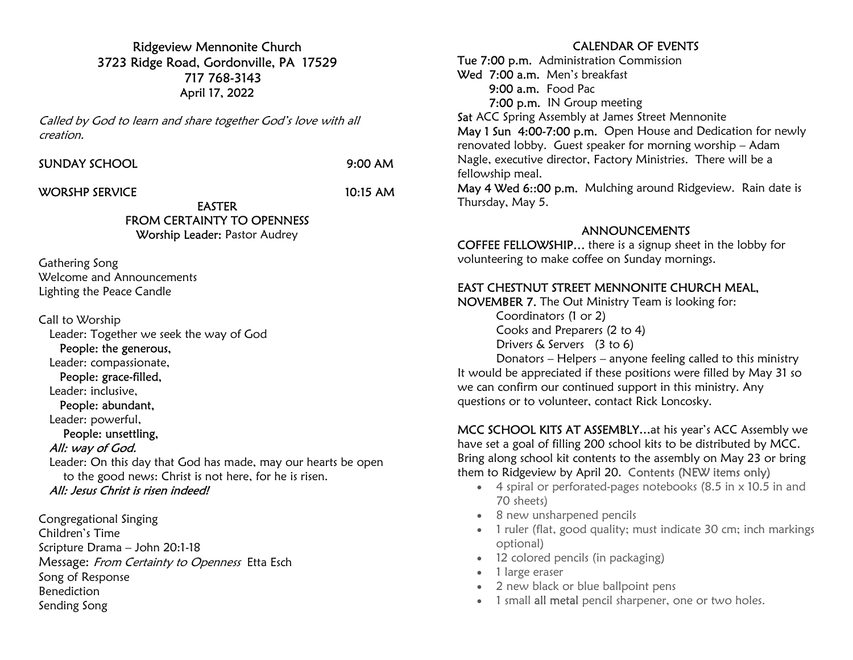Ridgeview Mennonite Church 3723 Ridge Road, Gordonville, PA 17529 717 768-3143 April 17, 2022

Called by God to learn and share together God's love with all creation.

SUNDAY SCHOOL 9:00 AM

WORSHP SERVICE 10:15 AM

EASTER FROM CERTAINTY TO OPENNESS

Worship Leader: Pastor Audrey

Gathering Song Welcome and Announcements Lighting the Peace Candle

Call to Worship Leader: Together we seek the way of God People: the generous, Leader: compassionate, People: grace-filled, Leader: inclusive, People: abundant, Leader: powerful, People: unsettling, All: way of God. Leader: On this day that God has made, may our hearts be open to the good news: Christ is not here, for he is risen. All: Jesus Christ is risen indeed!

Congregational Singing Children's Time Scripture Drama – John 20:1-18 Message: From Certainty to Openness Etta Esch Song of Response Benediction Sending Song

## CALENDAR OF EVENTS

Tue 7:00 p.m. Administration Commission Wed 7:00 a.m. Men's breakfast 9:00 a.m. Food Pac 7:00 p.m. IN Group meeting Sat ACC Spring Assembly at James Street Mennonite May 1 Sun 4:00-7:00 p.m. Open House and Dedication for newly renovated lobby. Guest speaker for morning worship – Adam

Nagle, executive director, Factory Ministries. There will be a fellowship meal.

May 4 Wed 6::00 p.m. Mulching around Ridgeview. Rain date is Thursday, May 5.

## ANNOUNCEMENTS

COFFEE FELLOWSHIP… there is a signup sheet in the lobby for volunteering to make coffee on Sunday mornings.

## EAST CHESTNUT STREET MENNONITE CHURCH MEAL,

NOVEMBER 7. The Out Ministry Team is looking for:

 Coordinators (1 or 2) Cooks and Preparers (2 to 4) Drivers & Servers (3 to 6)

 Donators – Helpers – anyone feeling called to this ministry It would be appreciated if these positions were filled by May 31 so we can confirm our continued support in this ministry. Any questions or to volunteer, contact Rick Loncosky.

MCC SCHOOL KITS AT ASSEMBLY…at his year's ACC Assembly we have set a goal of filling 200 school kits to be distributed by MCC. Bring along school kit contents to the assembly on May 23 or bring them to Ridgeview by April 20. Contents (NEW items only)

- $\bullet$  4 spiral or perforated-pages notebooks (8.5 in  $\times$  10.5 in and 70 sheets)
- 8 new unsharpened pencils
- 1 ruler (flat, good quality; must indicate 30 cm; inch markings optional)
- 12 colored pencils (in packaging)
- 1 large eraser
- 2 new black or blue ballpoint pens
- 1 small all metal pencil sharpener, one or two holes.